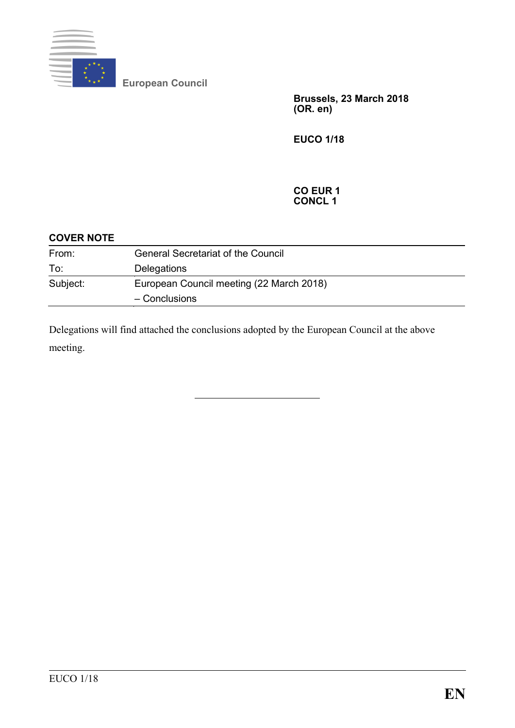

**European Council**

**Brussels, 23 March 2018 (OR. en)**

**EUCO 1/18**

#### **CO EUR 1 CONCL 1**

| <b>COVER NOTE</b> |                                           |
|-------------------|-------------------------------------------|
| From:             | <b>General Secretariat of the Council</b> |
| To:               | Delegations                               |
| Subject:          | European Council meeting (22 March 2018)  |
|                   | - Conclusions                             |

Delegations will find attached the conclusions adopted by the European Council at the above meeting.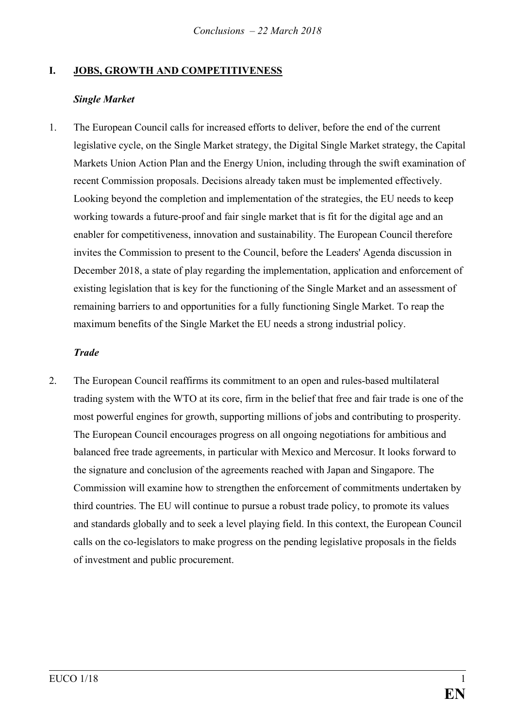# **I. JOBS, GROWTH AND COMPETITIVENESS**

## *Single Market*

1. The European Council calls for increased efforts to deliver, before the end of the current legislative cycle, on the Single Market strategy, the Digital Single Market strategy, the Capital Markets Union Action Plan and the Energy Union, including through the swift examination of recent Commission proposals. Decisions already taken must be implemented effectively. Looking beyond the completion and implementation of the strategies, the EU needs to keep working towards a future-proof and fair single market that is fit for the digital age and an enabler for competitiveness, innovation and sustainability. The European Council therefore invites the Commission to present to the Council, before the Leaders' Agenda discussion in December 2018, a state of play regarding the implementation, application and enforcement of existing legislation that is key for the functioning of the Single Market and an assessment of remaining barriers to and opportunities for a fully functioning Single Market. To reap the maximum benefits of the Single Market the EU needs a strong industrial policy.

### *Trade*

2. The European Council reaffirms its commitment to an open and rules-based multilateral trading system with the WTO at its core, firm in the belief that free and fair trade is one of the most powerful engines for growth, supporting millions of jobs and contributing to prosperity. The European Council encourages progress on all ongoing negotiations for ambitious and balanced free trade agreements, in particular with Mexico and Mercosur. It looks forward to the signature and conclusion of the agreements reached with Japan and Singapore. The Commission will examine how to strengthen the enforcement of commitments undertaken by third countries. The EU will continue to pursue a robust trade policy, to promote its values and standards globally and to seek a level playing field. In this context, the European Council calls on the co-legislators to make progress on the pending legislative proposals in the fields of investment and public procurement.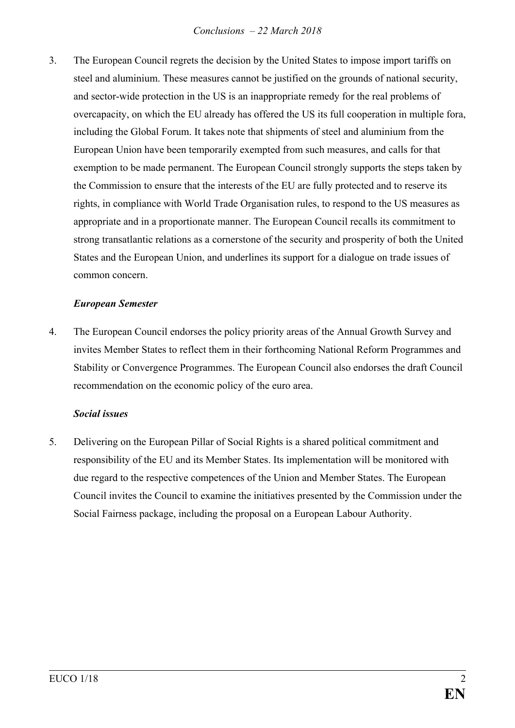3. The European Council regrets the decision by the United States to impose import tariffs on steel and aluminium. These measures cannot be justified on the grounds of national security, and sector-wide protection in the US is an inappropriate remedy for the real problems of overcapacity, on which the EU already has offered the US its full cooperation in multiple fora, including the Global Forum. It takes note that shipments of steel and aluminium from the European Union have been temporarily exempted from such measures, and calls for that exemption to be made permanent. The European Council strongly supports the steps taken by the Commission to ensure that the interests of the EU are fully protected and to reserve its rights, in compliance with World Trade Organisation rules, to respond to the US measures as appropriate and in a proportionate manner. The European Council recalls its commitment to strong transatlantic relations as a cornerstone of the security and prosperity of both the United States and the European Union, and underlines its support for a dialogue on trade issues of common concern.

## *European Semester*

4. The European Council endorses the policy priority areas of the Annual Growth Survey and invites Member States to reflect them in their forthcoming National Reform Programmes and Stability or Convergence Programmes. The European Council also endorses the draft Council recommendation on the economic policy of the euro area.

#### *Social issues*

5. Delivering on the European Pillar of Social Rights is a shared political commitment and responsibility of the EU and its Member States. Its implementation will be monitored with due regard to the respective competences of the Union and Member States. The European Council invites the Council to examine the initiatives presented by the Commission under the Social Fairness package, including the proposal on a European Labour Authority.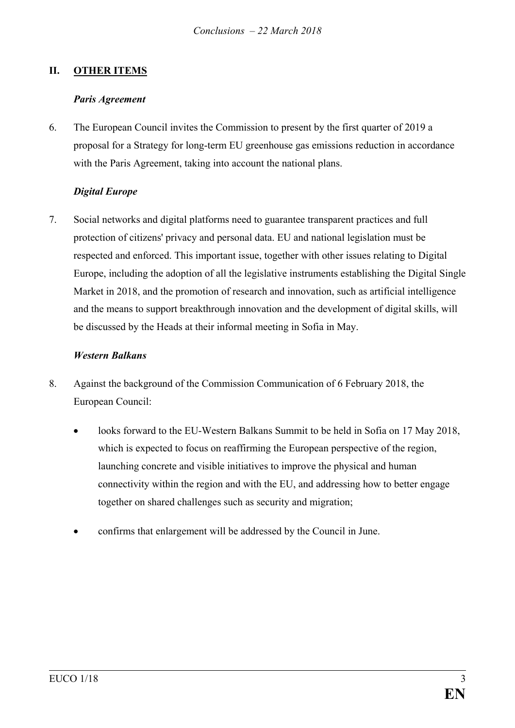# **II. OTHER ITEMS**

### *Paris Agreement*

6. The European Council invites the Commission to present by the first quarter of 2019 a proposal for a Strategy for long-term EU greenhouse gas emissions reduction in accordance with the Paris Agreement, taking into account the national plans.

# *Digital Europe*

7. Social networks and digital platforms need to guarantee transparent practices and full protection of citizens' privacy and personal data. EU and national legislation must be respected and enforced. This important issue, together with other issues relating to Digital Europe, including the adoption of all the legislative instruments establishing the Digital Single Market in 2018, and the promotion of research and innovation, such as artificial intelligence and the means to support breakthrough innovation and the development of digital skills, will be discussed by the Heads at their informal meeting in Sofia in May.

### *Western Balkans*

- 8. Against the background of the Commission Communication of 6 February 2018, the European Council:
	- looks forward to the EU-Western Balkans Summit to be held in Sofia on 17 May 2018, which is expected to focus on reaffirming the European perspective of the region, launching concrete and visible initiatives to improve the physical and human connectivity within the region and with the EU, and addressing how to better engage together on shared challenges such as security and migration;
	- confirms that enlargement will be addressed by the Council in June.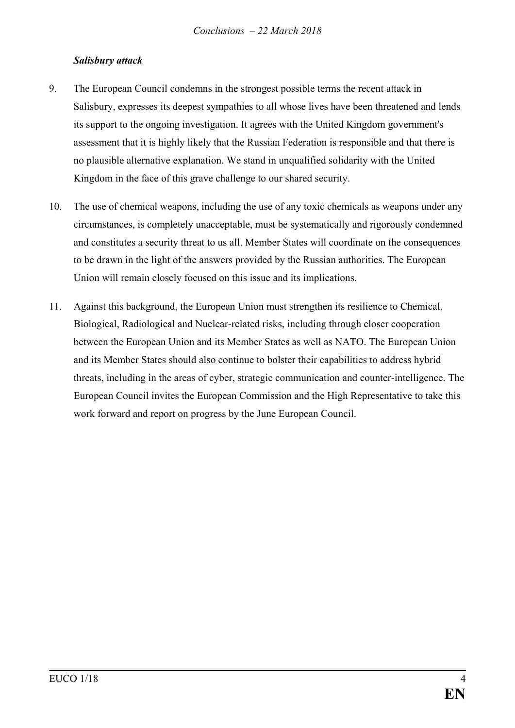## *Salisbury attack*

- 9. The European Council condemns in the strongest possible terms the recent attack in Salisbury, expresses its deepest sympathies to all whose lives have been threatened and lends its support to the ongoing investigation. It agrees with the United Kingdom government's assessment that it is highly likely that the Russian Federation is responsible and that there is no plausible alternative explanation. We stand in unqualified solidarity with the United Kingdom in the face of this grave challenge to our shared security.
- 10. The use of chemical weapons, including the use of any toxic chemicals as weapons under any circumstances, is completely unacceptable, must be systematically and rigorously condemned and constitutes a security threat to us all. Member States will coordinate on the consequences to be drawn in the light of the answers provided by the Russian authorities. The European Union will remain closely focused on this issue and its implications.
- 11. Against this background, the European Union must strengthen its resilience to Chemical, Biological, Radiological and Nuclear-related risks, including through closer cooperation between the European Union and its Member States as well as NATO. The European Union and its Member States should also continue to bolster their capabilities to address hybrid threats, including in the areas of cyber, strategic communication and counter-intelligence. The European Council invites the European Commission and the High Representative to take this work forward and report on progress by the June European Council.